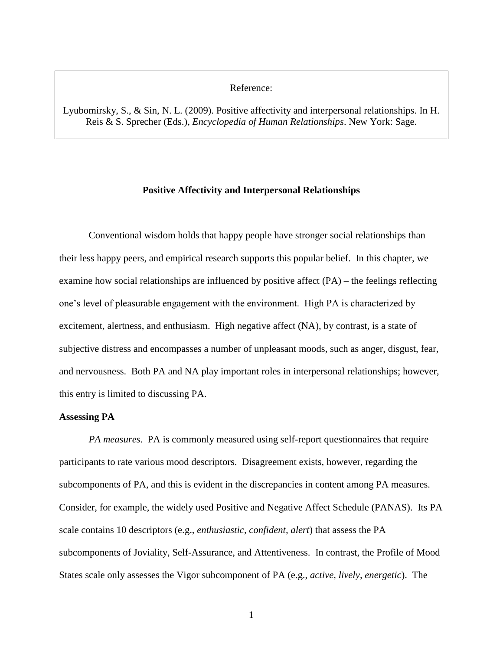# Reference:

Lyubomirsky, S., & Sin, N. L. (2009). Positive affectivity and interpersonal relationships. In H. Reis & S. Sprecher (Eds.), *Encyclopedia of Human Relationships*. New York: Sage.

### **Positive Affectivity and Interpersonal Relationships**

Conventional wisdom holds that happy people have stronger social relationships than their less happy peers, and empirical research supports this popular belief. In this chapter, we examine how social relationships are influenced by positive affect (PA) – the feelings reflecting one's level of pleasurable engagement with the environment. High PA is characterized by excitement, alertness, and enthusiasm. High negative affect (NA), by contrast, is a state of subjective distress and encompasses a number of unpleasant moods, such as anger, disgust, fear, and nervousness. Both PA and NA play important roles in interpersonal relationships; however, this entry is limited to discussing PA.

## **Assessing PA**

*PA measures*. PA is commonly measured using self-report questionnaires that require participants to rate various mood descriptors. Disagreement exists, however, regarding the subcomponents of PA, and this is evident in the discrepancies in content among PA measures. Consider, for example, the widely used Positive and Negative Affect Schedule (PANAS). Its PA scale contains 10 descriptors (e.g., *enthusiastic, confident, alert*) that assess the PA subcomponents of Joviality, Self-Assurance, and Attentiveness. In contrast, the Profile of Mood States scale only assesses the Vigor subcomponent of PA (e.g., *active, lively, energetic*). The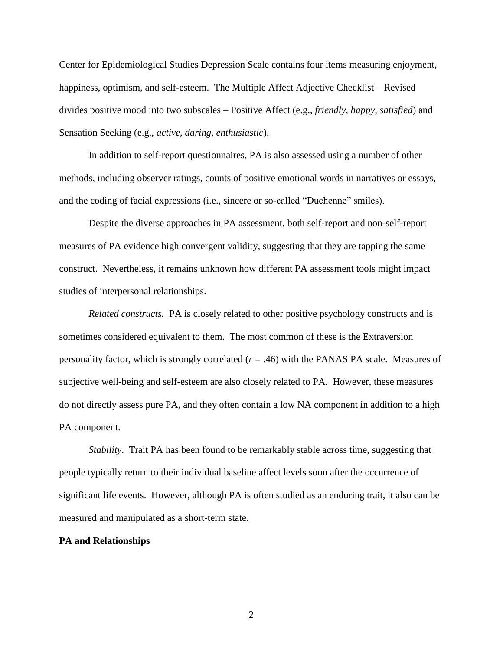Center for Epidemiological Studies Depression Scale contains four items measuring enjoyment, happiness, optimism, and self-esteem. The Multiple Affect Adjective Checklist – Revised divides positive mood into two subscales – Positive Affect (e.g., *friendly, happy, satisfied*) and Sensation Seeking (e.g., *active, daring, enthusiastic*).

In addition to self-report questionnaires, PA is also assessed using a number of other methods, including observer ratings, counts of positive emotional words in narratives or essays, and the coding of facial expressions (i.e., sincere or so-called "Duchenne" smiles).

Despite the diverse approaches in PA assessment, both self-report and non-self-report measures of PA evidence high convergent validity, suggesting that they are tapping the same construct. Nevertheless, it remains unknown how different PA assessment tools might impact studies of interpersonal relationships.

*Related constructs.* PA is closely related to other positive psychology constructs and is sometimes considered equivalent to them. The most common of these is the Extraversion personality factor, which is strongly correlated (*r* = .46) with the PANAS PA scale. Measures of subjective well-being and self-esteem are also closely related to PA. However, these measures do not directly assess pure PA, and they often contain a low NA component in addition to a high PA component.

*Stability*. Trait PA has been found to be remarkably stable across time, suggesting that people typically return to their individual baseline affect levels soon after the occurrence of significant life events. However, although PA is often studied as an enduring trait, it also can be measured and manipulated as a short-term state.

#### **PA and Relationships**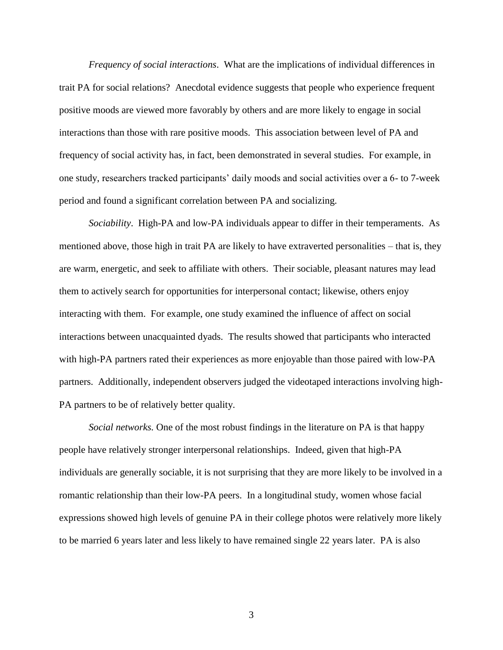*Frequency of social interactions*. What are the implications of individual differences in trait PA for social relations? Anecdotal evidence suggests that people who experience frequent positive moods are viewed more favorably by others and are more likely to engage in social interactions than those with rare positive moods. This association between level of PA and frequency of social activity has, in fact, been demonstrated in several studies. For example, in one study, researchers tracked participants' daily moods and social activities over a 6- to 7-week period and found a significant correlation between PA and socializing.

*Sociability*. High-PA and low-PA individuals appear to differ in their temperaments. As mentioned above, those high in trait PA are likely to have extraverted personalities – that is, they are warm, energetic, and seek to affiliate with others. Their sociable, pleasant natures may lead them to actively search for opportunities for interpersonal contact; likewise, others enjoy interacting with them. For example, one study examined the influence of affect on social interactions between unacquainted dyads. The results showed that participants who interacted with high-PA partners rated their experiences as more enjoyable than those paired with low-PA partners. Additionally, independent observers judged the videotaped interactions involving high-PA partners to be of relatively better quality.

*Social networks.* One of the most robust findings in the literature on PA is that happy people have relatively stronger interpersonal relationships. Indeed, given that high-PA individuals are generally sociable, it is not surprising that they are more likely to be involved in a romantic relationship than their low-PA peers. In a longitudinal study, women whose facial expressions showed high levels of genuine PA in their college photos were relatively more likely to be married 6 years later and less likely to have remained single 22 years later. PA is also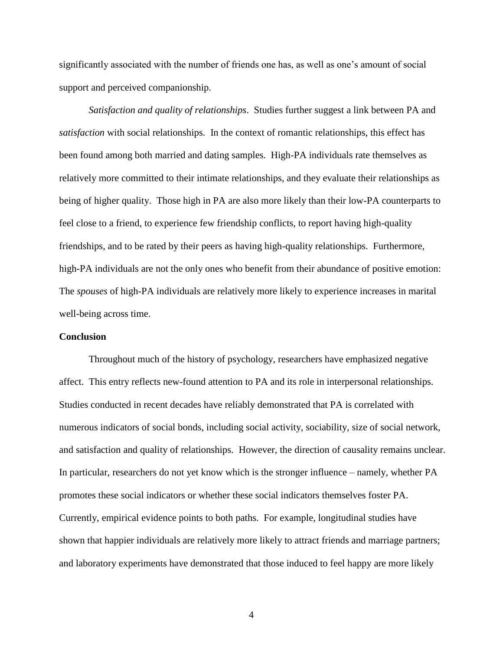significantly associated with the number of friends one has, as well as one's amount of social support and perceived companionship.

*Satisfaction and quality of relationships*. Studies further suggest a link between PA and *satisfaction* with social relationships. In the context of romantic relationships, this effect has been found among both married and dating samples. High-PA individuals rate themselves as relatively more committed to their intimate relationships, and they evaluate their relationships as being of higher quality. Those high in PA are also more likely than their low-PA counterparts to feel close to a friend, to experience few friendship conflicts, to report having high-quality friendships, and to be rated by their peers as having high-quality relationships. Furthermore, high-PA individuals are not the only ones who benefit from their abundance of positive emotion: The *spouses* of high-PA individuals are relatively more likely to experience increases in marital well-being across time.

# **Conclusion**

Throughout much of the history of psychology, researchers have emphasized negative affect. This entry reflects new-found attention to PA and its role in interpersonal relationships. Studies conducted in recent decades have reliably demonstrated that PA is correlated with numerous indicators of social bonds, including social activity, sociability, size of social network, and satisfaction and quality of relationships. However, the direction of causality remains unclear. In particular, researchers do not yet know which is the stronger influence – namely, whether PA promotes these social indicators or whether these social indicators themselves foster PA. Currently, empirical evidence points to both paths. For example, longitudinal studies have shown that happier individuals are relatively more likely to attract friends and marriage partners; and laboratory experiments have demonstrated that those induced to feel happy are more likely